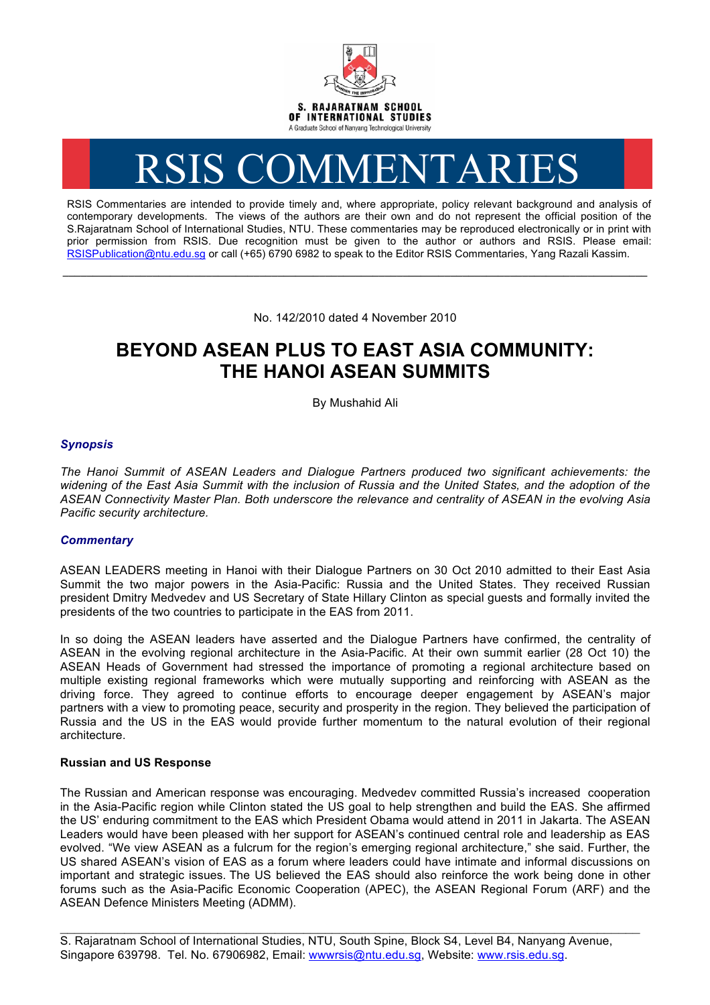

# RSIS COMMENTARIES

RSIS Commentaries are intended to provide timely and, where appropriate, policy relevant background and analysis of contemporary developments. The views of the authors are their own and do not represent the official position of the S.Rajaratnam School of International Studies, NTU. These commentaries may be reproduced electronically or in print with prior permission from RSIS. Due recognition must be given to the author or authors and RSIS. Please email: RSISPublication@ntu.edu.sg or call (+65) 6790 6982 to speak to the Editor RSIS Commentaries, Yang Razali Kassim.

No. 142/2010 dated 4 November 2010

**\_\_\_\_\_\_\_\_\_\_\_\_\_\_\_\_\_\_\_\_\_\_\_\_\_\_\_\_\_\_\_\_\_\_\_\_\_\_\_\_\_\_\_\_\_\_\_\_\_\_\_\_\_\_\_\_\_\_\_\_\_\_\_\_\_\_\_\_\_\_\_\_\_\_\_\_\_\_\_\_\_\_\_\_\_\_\_\_\_\_\_\_\_\_\_\_\_\_**

# **BEYOND ASEAN PLUS TO EAST ASIA COMMUNITY: THE HANOI ASEAN SUMMITS**

By Mushahid Ali

## *Synopsis*

*The Hanoi Summit of ASEAN Leaders and Dialogue Partners produced two significant achievements: the widening of the East Asia Summit with the inclusion of Russia and the United States, and the adoption of the ASEAN Connectivity Master Plan. Both underscore the relevance and centrality of ASEAN in the evolving Asia Pacific security architecture.* 

## *Commentary*

ASEAN LEADERS meeting in Hanoi with their Dialogue Partners on 30 Oct 2010 admitted to their East Asia Summit the two major powers in the Asia-Pacific: Russia and the United States. They received Russian president Dmitry Medvedev and US Secretary of State Hillary Clinton as special guests and formally invited the presidents of the two countries to participate in the EAS from 2011.

In so doing the ASEAN leaders have asserted and the Dialogue Partners have confirmed, the centrality of ASEAN in the evolving regional architecture in the Asia-Pacific. At their own summit earlier (28 Oct 10) the ASEAN Heads of Government had stressed the importance of promoting a regional architecture based on multiple existing regional frameworks which were mutually supporting and reinforcing with ASEAN as the driving force. They agreed to continue efforts to encourage deeper engagement by ASEAN's major partners with a view to promoting peace, security and prosperity in the region. They believed the participation of Russia and the US in the EAS would provide further momentum to the natural evolution of their regional architecture.

## **Russian and US Response**

The Russian and American response was encouraging. Medvedev committed Russia's increased cooperation in the Asia-Pacific region while Clinton stated the US goal to help strengthen and build the EAS. She affirmed the US' enduring commitment to the EAS which President Obama would attend in 2011 in Jakarta. The ASEAN Leaders would have been pleased with her support for ASEAN's continued central role and leadership as EAS evolved. "We view ASEAN as a fulcrum for the region's emerging regional architecture," she said. Further, the US shared ASEAN's vision of EAS as a forum where leaders could have intimate and informal discussions on important and strategic issues. The US believed the EAS should also reinforce the work being done in other forums such as the Asia-Pacific Economic Cooperation (APEC), the ASEAN Regional Forum (ARF) and the ASEAN Defence Ministers Meeting (ADMM).